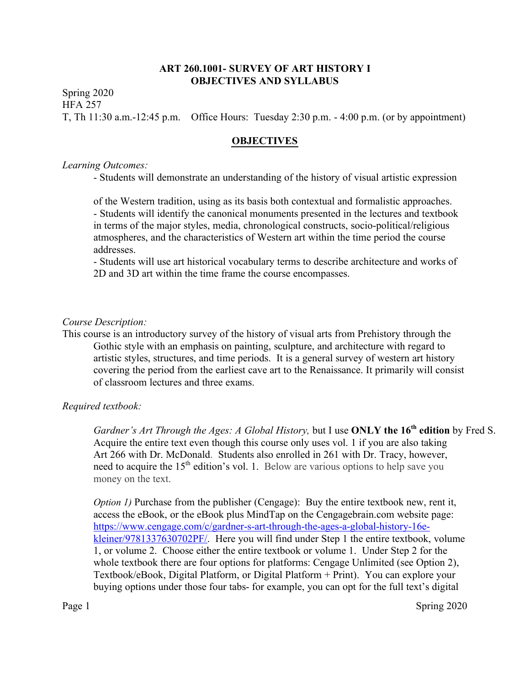# **ART 260.1001- SURVEY OF ART HISTORY I OBJECTIVES AND SYLLABUS**

Spring 2020 HFA 257 T, Th 11:30 a.m.-12:45 p.m. Office Hours: Tuesday 2:30 p.m. - 4:00 p.m. (or by appointment)

### **OBJECTIVES**

#### *Learning Outcomes:*

- Students will demonstrate an understanding of the history of visual artistic expression

of the Western tradition, using as its basis both contextual and formalistic approaches. - Students will identify the canonical monuments presented in the lectures and textbook in terms of the major styles, media, chronological constructs, socio-political/religious atmospheres, and the characteristics of Western art within the time period the course addresses.

- Students will use art historical vocabulary terms to describe architecture and works of 2D and 3D art within the time frame the course encompasses.

### *Course Description:*

This course is an introductory survey of the history of visual arts from Prehistory through the Gothic style with an emphasis on painting, sculpture, and architecture with regard to artistic styles, structures, and time periods. It is a general survey of western art history covering the period from the earliest cave art to the Renaissance. It primarily will consist of classroom lectures and three exams.

### *Required textbook:*

*Gardner's Art Through the Ages: A Global History,* but I use **ONLY the 16th edition** by Fred S. Acquire the entire text even though this course only uses vol. 1 if you are also taking Art 266 with Dr. McDonald. Students also enrolled in 261 with Dr. Tracy, however, need to acquire the  $15<sup>th</sup>$  edition's vol. 1. Below are various options to help save you money on the text.

*Option 1)* Purchase from the publisher (Cengage): Buy the entire textbook new, rent it, access the eBook, or the eBook plus MindTap on the Cengagebrain.com website page: https://www.cengage.com/c/gardner-s-art-through-the-ages-a-global-history-16ekleiner/9781337630702PF/. Here you will find under Step 1 the entire textbook, volume 1, or volume 2. Choose either the entire textbook or volume 1. Under Step 2 for the whole textbook there are four options for platforms: Cengage Unlimited (see Option 2), Textbook/eBook, Digital Platform, or Digital Platform + Print). You can explore your buying options under those four tabs- for example, you can opt for the full text's digital

Page 1 Spring 2020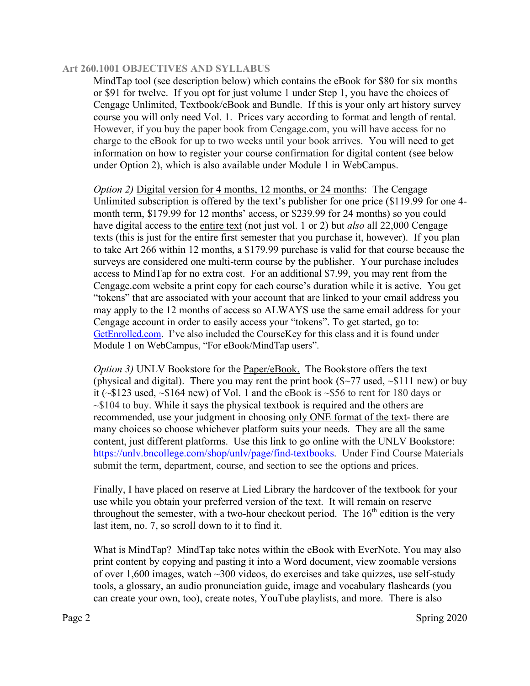MindTap tool (see description below) which contains the eBook for \$80 for six months or \$91 for twelve. If you opt for just volume 1 under Step 1, you have the choices of Cengage Unlimited, Textbook/eBook and Bundle. If this is your only art history survey course you will only need Vol. 1. Prices vary according to format and length of rental. However, if you buy the paper book from Cengage.com, you will have access for no charge to the eBook for up to two weeks until your book arrives. You will need to get information on how to register your course confirmation for digital content (see below under Option 2), which is also available under Module 1 in WebCampus.

*Option 2*) Digital version for 4 months, 12 months, or 24 months: The Cengage Unlimited subscription is offered by the text's publisher for one price (\$119.99 for one 4 month term, \$179.99 for 12 months' access, or \$239.99 for 24 months) so you could have digital access to the entire text (not just vol. 1 or 2) but *also* all 22,000 Cengage texts (this is just for the entire first semester that you purchase it, however). If you plan to take Art 266 within 12 months, a \$179.99 purchase is valid for that course because the surveys are considered one multi-term course by the publisher. Your purchase includes access to MindTap for no extra cost. For an additional \$7.99, you may rent from the Cengage.com website a print copy for each course's duration while it is active. You get "tokens" that are associated with your account that are linked to your email address you may apply to the 12 months of access so ALWAYS use the same email address for your Cengage account in order to easily access your "tokens". To get started, go to: GetEnrolled.com. I've also included the CourseKey for this class and it is found under Module 1 on WebCampus, "For eBook/MindTap users".

*Option 3*) UNLV Bookstore for the **Paper/eBook.** The Bookstore offers the text (physical and digital). There you may rent the print book  $(\frac{2}{77} \text{ used}, \frac{111 \text{ new}}{79})$  or buy it (~\$123 used, ~\$164 new) of Vol. 1 and the eBook is ~\$56 to rent for 180 days or  $\sim$ \$104 to buy. While it says the physical textbook is required and the others are recommended, use your judgment in choosing only ONE format of the text- there are many choices so choose whichever platform suits your needs. They are all the same content, just different platforms. Use this link to go online with the UNLV Bookstore: https://unlv.bncollege.com/shop/unlv/page/find-textbooks. Under Find Course Materials submit the term, department, course, and section to see the options and prices.

Finally, I have placed on reserve at Lied Library the hardcover of the textbook for your use while you obtain your preferred version of the text. It will remain on reserve throughout the semester, with a two-hour checkout period. The  $16<sup>th</sup>$  edition is the very last item, no. 7, so scroll down to it to find it.

What is MindTap? MindTap take notes within the eBook with EverNote. You may also print content by copying and pasting it into a Word document, view zoomable versions of over 1,600 images, watch ~300 videos, do exercises and take quizzes, use self-study tools, a glossary, an audio pronunciation guide, image and vocabulary flashcards (you can create your own, too), create notes, YouTube playlists, and more. There is also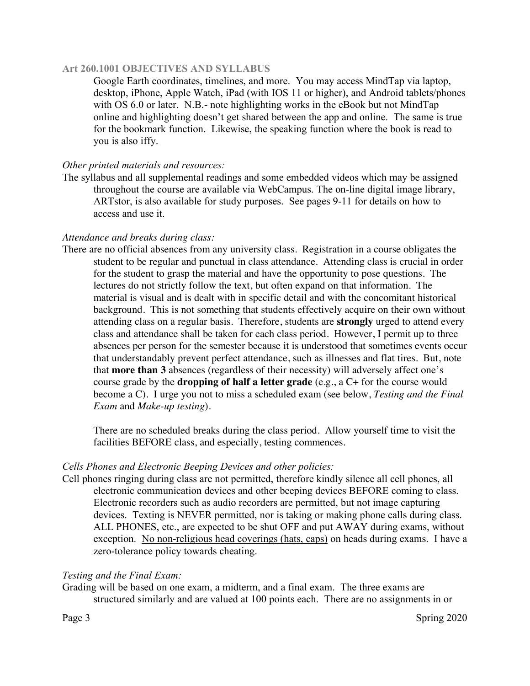Google Earth coordinates, timelines, and more. You may access MindTap via laptop, desktop, iPhone, Apple Watch, iPad (with IOS 11 or higher), and Android tablets/phones with OS 6.0 or later. N.B.- note highlighting works in the eBook but not MindTap online and highlighting doesn't get shared between the app and online. The same is true for the bookmark function. Likewise, the speaking function where the book is read to you is also iffy.

### *Other printed materials and resources:*

The syllabus and all supplemental readings and some embedded videos which may be assigned throughout the course are available via WebCampus. The on-line digital image library, ARTstor, is also available for study purposes. See pages 9-11 for details on how to access and use it.

### *Attendance and breaks during class:*

There are no official absences from any university class. Registration in a course obligates the student to be regular and punctual in class attendance. Attending class is crucial in order for the student to grasp the material and have the opportunity to pose questions. The lectures do not strictly follow the text, but often expand on that information. The material is visual and is dealt with in specific detail and with the concomitant historical background. This is not something that students effectively acquire on their own without attending class on a regular basis. Therefore, students are **strongly** urged to attend every class and attendance shall be taken for each class period. However, I permit up to three absences per person for the semester because it is understood that sometimes events occur that understandably prevent perfect attendance, such as illnesses and flat tires. But, note that **more than 3** absences (regardless of their necessity) will adversely affect one's course grade by the **dropping of half a letter grade** (e.g., a C+ for the course would become a C). I urge you not to miss a scheduled exam (see below, *Testing and the Final Exam* and *Make-up testing*).

There are no scheduled breaks during the class period. Allow yourself time to visit the facilities BEFORE class, and especially, testing commences.

### *Cells Phones and Electronic Beeping Devices and other policies:*

Cell phones ringing during class are not permitted, therefore kindly silence all cell phones, all electronic communication devices and other beeping devices BEFORE coming to class. Electronic recorders such as audio recorders are permitted, but not image capturing devices. Texting is NEVER permitted, nor is taking or making phone calls during class. ALL PHONES, etc., are expected to be shut OFF and put AWAY during exams, without exception. No non-religious head coverings (hats, caps) on heads during exams. I have a zero-tolerance policy towards cheating.

### *Testing and the Final Exam:*

Grading will be based on one exam, a midterm, and a final exam. The three exams are structured similarly and are valued at 100 points each. There are no assignments in or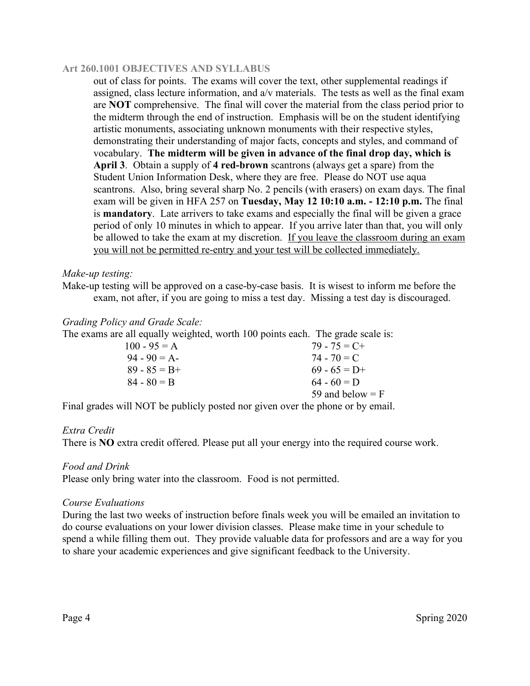out of class for points. The exams will cover the text, other supplemental readings if assigned, class lecture information, and a/v materials. The tests as well as the final exam are **NOT** comprehensive. The final will cover the material from the class period prior to the midterm through the end of instruction. Emphasis will be on the student identifying artistic monuments, associating unknown monuments with their respective styles, demonstrating their understanding of major facts, concepts and styles, and command of vocabulary. **The midterm will be given in advance of the final drop day, which is April 3**. Obtain a supply of **4 red-brown** scantrons (always get a spare) from the Student Union Information Desk, where they are free. Please do NOT use aqua scantrons. Also, bring several sharp No. 2 pencils (with erasers) on exam days. The final exam will be given in HFA 257 on **Tuesday, May 12 10:10 a.m. - 12:10 p.m.** The final is **mandatory**. Late arrivers to take exams and especially the final will be given a grace period of only 10 minutes in which to appear. If you arrive later than that, you will only be allowed to take the exam at my discretion. If you leave the classroom during an exam you will not be permitted re-entry and your test will be collected immediately.

### *Make-up testing:*

Make-up testing will be approved on a case-by-case basis. It is wisest to inform me before the exam, not after, if you are going to miss a test day. Missing a test day is discouraged.

### *Grading Policy and Grade Scale:*

The exams are all equally weighted, worth 100 points each. The grade scale is:

| $100 - 95 = A$  | $79 - 75 = C +$    |
|-----------------|--------------------|
| $94 - 90 = A$   | $74 - 70 = C$      |
| $89 - 85 = B +$ | $69 - 65 = D+$     |
| $84 - 80 = B$   | $64 - 60 = D$      |
|                 | 59 and below $=$ F |

Final grades will NOT be publicly posted nor given over the phone or by email.

### *Extra Credit*

There is **NO** extra credit offered. Please put all your energy into the required course work.

### *Food and Drink*

Please only bring water into the classroom. Food is not permitted.

#### *Course Evaluations*

During the last two weeks of instruction before finals week you will be emailed an invitation to do course evaluations on your lower division classes. Please make time in your schedule to spend a while filling them out. They provide valuable data for professors and are a way for you to share your academic experiences and give significant feedback to the University.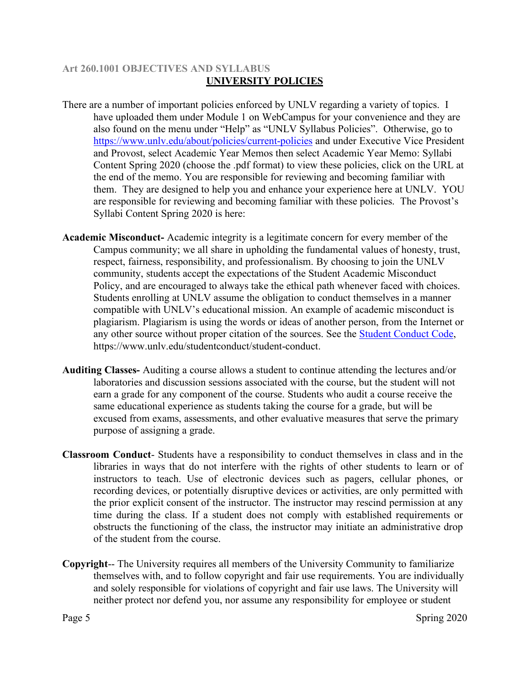# **Art 260.1001 OBJECTIVES AND SYLLABUS UNIVERSITY POLICIES**

- There are a number of important policies enforced by UNLV regarding a variety of topics. I have uploaded them under Module 1 on WebCampus for your convenience and they are also found on the menu under "Help" as "UNLV Syllabus Policies". Otherwise, go to https://www.unly.edu/about/policies/current-policies and under Executive Vice President and Provost, select Academic Year Memos then select Academic Year Memo: Syllabi Content Spring 2020 (choose the .pdf format) to view these policies, click on the URL at the end of the memo. You are responsible for reviewing and becoming familiar with them. They are designed to help you and enhance your experience here at UNLV.YOU are responsible for reviewing and becoming familiar with these policies. The Provost's Syllabi Content Spring 2020 is here:
- **Academic Misconduct-** Academic integrity is a legitimate concern for every member of the Campus community; we all share in upholding the fundamental values of honesty, trust, respect, fairness, responsibility, and professionalism. By choosing to join the UNLV community, students accept the expectations of the Student Academic Misconduct Policy, and are encouraged to always take the ethical path whenever faced with choices. Students enrolling at UNLV assume the obligation to conduct themselves in a manner compatible with UNLV's educational mission. An example of academic misconduct is plagiarism. Plagiarism is using the words or ideas of another person, from the Internet or any other source without proper citation of the sources. See the Student Conduct Code, https://www.unlv.edu/studentconduct/student-conduct.
- **Auditing Classes-** Auditing a course allows a student to continue attending the lectures and/or laboratories and discussion sessions associated with the course, but the student will not earn a grade for any component of the course. Students who audit a course receive the same educational experience as students taking the course for a grade, but will be excused from exams, assessments, and other evaluative measures that serve the primary purpose of assigning a grade.
- **Classroom Conduct** Students have a responsibility to conduct themselves in class and in the libraries in ways that do not interfere with the rights of other students to learn or of instructors to teach. Use of electronic devices such as pagers, cellular phones, or recording devices, or potentially disruptive devices or activities, are only permitted with the prior explicit consent of the instructor. The instructor may rescind permission at any time during the class. If a student does not comply with established requirements or obstructs the functioning of the class, the instructor may initiate an administrative drop of the student from the course.
- **Copyright**-- The University requires all members of the University Community to familiarize themselves with, and to follow copyright and fair use requirements. You are individually and solely responsible for violations of copyright and fair use laws. The University will neither protect nor defend you, nor assume any responsibility for employee or student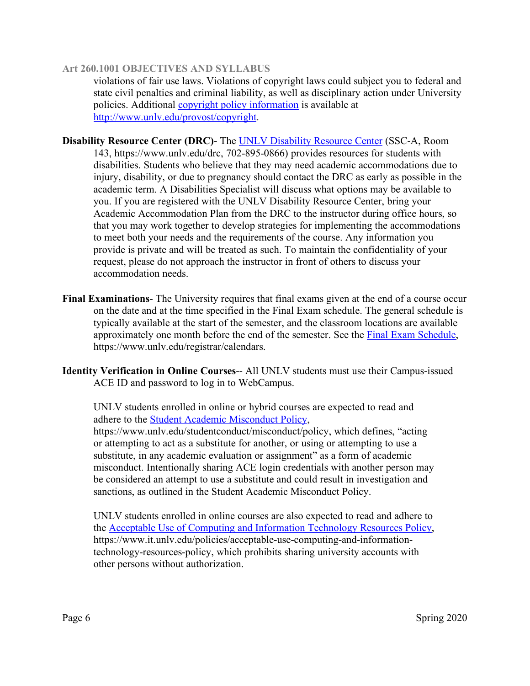violations of fair use laws. Violations of copyright laws could subject you to federal and state civil penalties and criminal liability, as well as disciplinary action under University policies. Additional copyright policy information is available at http://www.unlv.edu/provost/copyright.

**Disability Resource Center (DRC)**- The UNLV Disability Resource Center (SSC-A, Room 143, https://www.unlv.edu/drc, 702-895-0866) provides resources for students with disabilities. Students who believe that they may need academic accommodations due to injury, disability, or due to pregnancy should contact the DRC as early as possible in the academic term. A Disabilities Specialist will discuss what options may be available to you. If you are registered with the UNLV Disability Resource Center, bring your Academic Accommodation Plan from the DRC to the instructor during office hours, so that you may work together to develop strategies for implementing the accommodations to meet both your needs and the requirements of the course. Any information you provide is private and will be treated as such. To maintain the confidentiality of your request, please do not approach the instructor in front of others to discuss your accommodation needs.

- **Final Examinations** The University requires that final exams given at the end of a course occur on the date and at the time specified in the Final Exam schedule. The general schedule is typically available at the start of the semester, and the classroom locations are available approximately one month before the end of the semester. See the Final Exam Schedule, https://www.unlv.edu/registrar/calendars.
- **Identity Verification in Online Courses**-- All UNLV students must use their Campus-issued ACE ID and password to log in to WebCampus.

UNLV students enrolled in online or hybrid courses are expected to read and adhere to the Student Academic Misconduct Policy, https://www.unlv.edu/studentconduct/misconduct/policy, which defines, "acting or attempting to act as a substitute for another, or using or attempting to use a substitute, in any academic evaluation or assignment" as a form of academic misconduct. Intentionally sharing ACE login credentials with another person may be considered an attempt to use a substitute and could result in investigation and sanctions, as outlined in the Student Academic Misconduct Policy.

UNLV students enrolled in online courses are also expected to read and adhere to the Acceptable Use of Computing and Information Technology Resources Policy, https://www.it.unlv.edu/policies/acceptable-use-computing-and-informationtechnology-resources-policy, which prohibits sharing university accounts with other persons without authorization.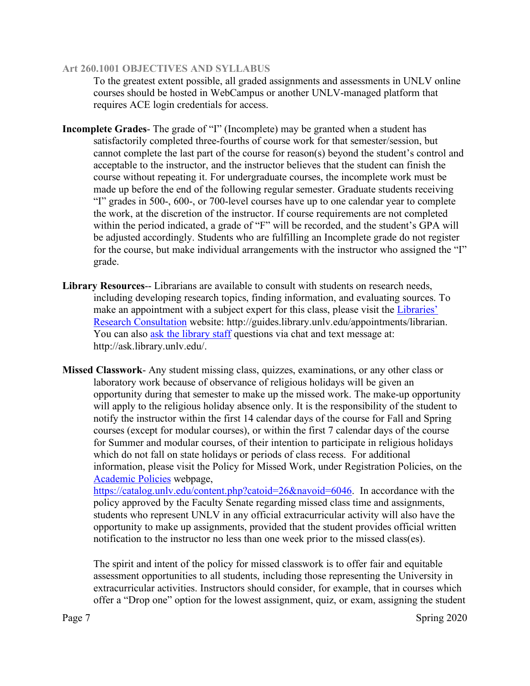To the greatest extent possible, all graded assignments and assessments in UNLV online courses should be hosted in WebCampus or another UNLV-managed platform that requires ACE login credentials for access.

- **Incomplete Grades** The grade of "I" (Incomplete) may be granted when a student has satisfactorily completed three-fourths of course work for that semester/session, but cannot complete the last part of the course for reason(s) beyond the student's control and acceptable to the instructor, and the instructor believes that the student can finish the course without repeating it. For undergraduate courses, the incomplete work must be made up before the end of the following regular semester. Graduate students receiving "I" grades in 500-, 600-, or 700-level courses have up to one calendar year to complete the work, at the discretion of the instructor. If course requirements are not completed within the period indicated, a grade of "F" will be recorded, and the student's GPA will be adjusted accordingly. Students who are fulfilling an Incomplete grade do not register for the course, but make individual arrangements with the instructor who assigned the "I" grade.
- **Library Resources**-- Librarians are available to consult with students on research needs, including developing research topics, finding information, and evaluating sources. To make an appointment with a subject expert for this class, please visit the Libraries' Research Consultation website: http://guides.library.unlv.edu/appointments/librarian. You can also ask the library staff questions via chat and text message at: http://ask.library.unlv.edu/.
- **Missed Classwork** Any student missing class, quizzes, examinations, or any other class or laboratory work because of observance of religious holidays will be given an opportunity during that semester to make up the missed work. The make-up opportunity will apply to the religious holiday absence only. It is the responsibility of the student to notify the instructor within the first 14 calendar days of the course for Fall and Spring courses (except for modular courses), or within the first 7 calendar days of the course for Summer and modular courses, of their intention to participate in religious holidays which do not fall on state holidays or periods of class recess. For additional information, please visit the Policy for Missed Work, under Registration Policies, on the Academic Policies webpage,

https://catalog.unly.edu/content.php?catoid=26&navoid=6046. In accordance with the policy approved by the Faculty Senate regarding missed class time and assignments, students who represent UNLV in any official extracurricular activity will also have the opportunity to make up assignments, provided that the student provides official written notification to the instructor no less than one week prior to the missed class(es).

The spirit and intent of the policy for missed classwork is to offer fair and equitable assessment opportunities to all students, including those representing the University in extracurricular activities. Instructors should consider, for example, that in courses which offer a "Drop one" option for the lowest assignment, quiz, or exam, assigning the student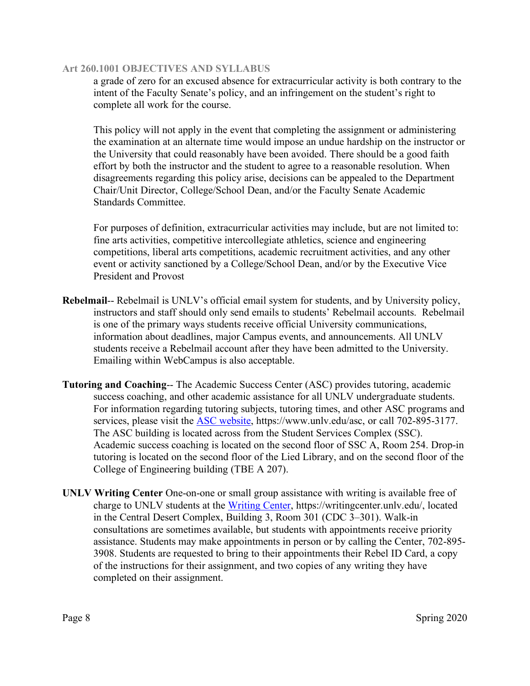a grade of zero for an excused absence for extracurricular activity is both contrary to the intent of the Faculty Senate's policy, and an infringement on the student's right to complete all work for the course.

This policy will not apply in the event that completing the assignment or administering the examination at an alternate time would impose an undue hardship on the instructor or the University that could reasonably have been avoided. There should be a good faith effort by both the instructor and the student to agree to a reasonable resolution. When disagreements regarding this policy arise, decisions can be appealed to the Department Chair/Unit Director, College/School Dean, and/or the Faculty Senate Academic Standards Committee.

For purposes of definition, extracurricular activities may include, but are not limited to: fine arts activities, competitive intercollegiate athletics, science and engineering competitions, liberal arts competitions, academic recruitment activities, and any other event or activity sanctioned by a College/School Dean, and/or by the Executive Vice President and Provost

- **Rebelmail**-- Rebelmail is UNLV's official email system for students, and by University policy, instructors and staff should only send emails to students' Rebelmail accounts. Rebelmail is one of the primary ways students receive official University communications, information about deadlines, major Campus events, and announcements. All UNLV students receive a Rebelmail account after they have been admitted to the University. Emailing within WebCampus is also acceptable.
- **Tutoring and Coaching**-- The Academic Success Center (ASC) provides tutoring, academic success coaching, and other academic assistance for all UNLV undergraduate students. For information regarding tutoring subjects, tutoring times, and other ASC programs and services, please visit the **ASC** website, https://www.unlv.edu/asc, or call 702-895-3177. The ASC building is located across from the Student Services Complex (SSC). Academic success coaching is located on the second floor of SSC A, Room 254. Drop-in tutoring is located on the second floor of the Lied Library, and on the second floor of the College of Engineering building (TBE A 207).
- **UNLV Writing Center** One-on-one or small group assistance with writing is available free of charge to UNLV students at the Writing Center, https://writingcenter.unlv.edu/, located in the Central Desert Complex, Building 3, Room 301 (CDC 3–301). Walk-in consultations are sometimes available, but students with appointments receive priority assistance. Students may make appointments in person or by calling the Center, 702-895- 3908. Students are requested to bring to their appointments their Rebel ID Card, a copy of the instructions for their assignment, and two copies of any writing they have completed on their assignment.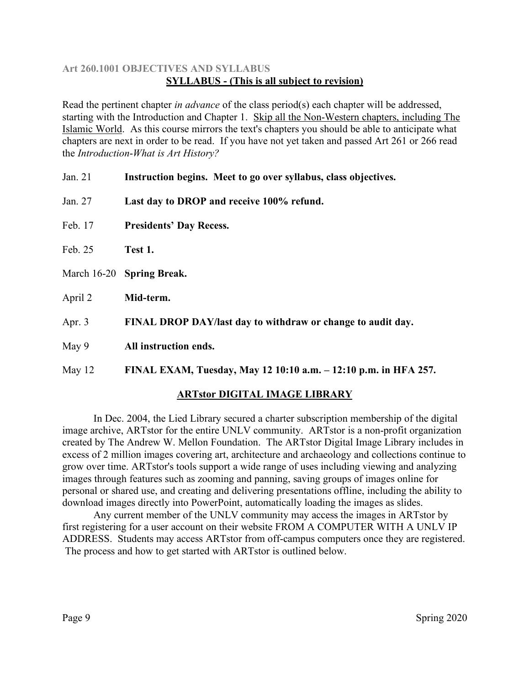# **Art 260.1001 OBJECTIVES AND SYLLABUS SYLLABUS - (This is all subject to revision)**

Read the pertinent chapter *in advance* of the class period(s) each chapter will be addressed, starting with the Introduction and Chapter 1. Skip all the Non-Western chapters, including The Islamic World. As this course mirrors the text's chapters you should be able to anticipate what chapters are next in order to be read. If you have not yet taken and passed Art 261 or 266 read the *Introduction*-*What is Art History?*

Jan. 21 **Instruction begins. Meet to go over syllabus, class objectives.**  Jan. 27 **Last day to DROP and receive 100% refund.** Feb. 17 **Presidents' Day Recess.** Feb. 25 **Test 1.** March 16-20 **Spring Break.** April 2 **Mid-term.** Apr. 3 **FINAL DROP DAY/last day to withdraw or change to audit day.** May 9 **All instruction ends.** May 12 **FINAL EXAM, Tuesday, May 12 10:10 a.m. – 12:10 p.m. in HFA 257.**

# **ARTstor DIGITAL IMAGE LIBRARY**

In Dec. 2004, the Lied Library secured a charter subscription membership of the digital image archive, ARTstor for the entire UNLV community. ARTstor is a non-profit organization created by The Andrew W. Mellon Foundation. The ARTstor Digital Image Library includes in excess of 2 million images covering art, architecture and archaeology and collections continue to grow over time. ARTstor's tools support a wide range of uses including viewing and analyzing images through features such as zooming and panning, saving groups of images online for personal or shared use, and creating and delivering presentations offline, including the ability to download images directly into PowerPoint, automatically loading the images as slides.

Any current member of the UNLV community may access the images in ARTstor by first registering for a user account on their website FROM A COMPUTER WITH A UNLV IP ADDRESS. Students may access ARTstor from off-campus computers once they are registered. The process and how to get started with ARTstor is outlined below.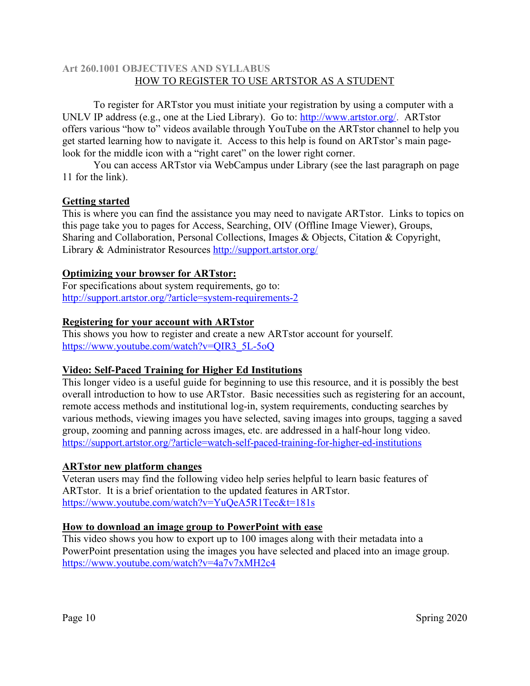### **Art 260.1001 OBJECTIVES AND SYLLABUS** HOW TO REGISTER TO USE ARTSTOR AS A STUDENT

To register for ARTstor you must initiate your registration by using a computer with a UNLV IP address (e.g., one at the Lied Library). Go to: http://www.artstor.org/. ARTstor offers various "how to" videos available through YouTube on the ARTstor channel to help you get started learning how to navigate it. Access to this help is found on ARTstor's main pagelook for the middle icon with a "right caret" on the lower right corner.

You can access ARTstor via WebCampus under Library (see the last paragraph on page 11 for the link).

### **Getting started**

This is where you can find the assistance you may need to navigate ARTstor. Links to topics on this page take you to pages for Access, Searching, OIV (Offline Image Viewer), Groups, Sharing and Collaboration, Personal Collections, Images & Objects, Citation & Copyright, Library & Administrator Resources http://support.artstor.org/

# **Optimizing your browser for ARTstor:**

For specifications about system requirements, go to: http://support.artstor.org/?article=system-requirements-2

# **Registering for your account with ARTstor**

This shows you how to register and create a new ARTstor account for yourself. https://www.youtube.com/watch?v=QIR3\_5L-5oQ

### **Video: Self-Paced Training for Higher Ed Institutions**

This longer video is a useful guide for beginning to use this resource, and it is possibly the best overall introduction to how to use ARTstor. Basic necessities such as registering for an account, remote access methods and institutional log-in, system requirements, conducting searches by various methods, viewing images you have selected, saving images into groups, tagging a saved group, zooming and panning across images, etc. are addressed in a half-hour long video. https://support.artstor.org/?article=watch-self-paced-training-for-higher-ed-institutions

# **ARTstor new platform changes**

Veteran users may find the following video help series helpful to learn basic features of ARTstor. It is a brief orientation to the updated features in ARTstor. https://www.youtube.com/watch?v=YuQeA5R1Tec&t=181s

### **How to download an image group to PowerPoint with ease**

This video shows you how to export up to 100 images along with their metadata into a PowerPoint presentation using the images you have selected and placed into an image group. https://www.youtube.com/watch?v=4a7v7xMH2c4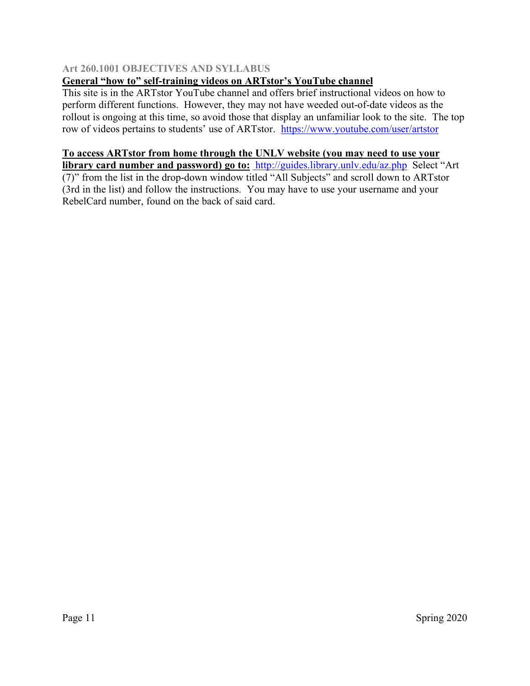# **General "how to" self-training videos on ARTstor's YouTube channel**

This site is in the ARTstor YouTube channel and offers brief instructional videos on how to perform different functions. However, they may not have weeded out-of-date videos as the rollout is ongoing at this time, so avoid those that display an unfamiliar look to the site. The top row of videos pertains to students' use of ARTstor. https://www.youtube.com/user/artstor

# **To access ARTstor from home through the UNLV website (you may need to use your**

**library card number and password) go to:** http://guides.library.unlv.edu/az.php Select "Art (7)" from the list in the drop-down window titled "All Subjects" and scroll down to ARTstor (3rd in the list) and follow the instructions. You may have to use your username and your RebelCard number, found on the back of said card.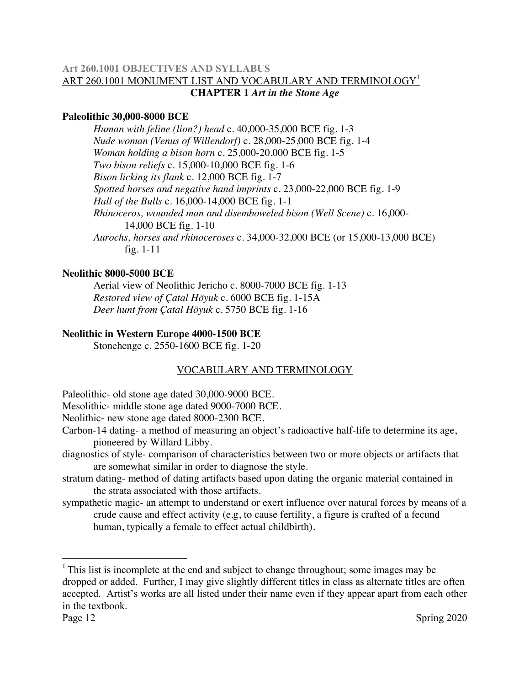# **Art 260.1001 OBJECTIVES AND SYLLABUS** ART 260.1001 MONUMENT LIST AND VOCABULARY AND TERMINOLOGY<sup>1</sup> **CHAPTER 1** *Art in the Stone Age*

# **Paleolithic 30,000-8000 BCE**

*Human with feline (lion?) head* c. 40,000-35,000 BCE fig. 1-3 *Nude woman (Venus of Willendorf)* c. 28,000-25,000 BCE fig. 1-4 *Woman holding a bison horn* c. 25,000-20,000 BCE fig. 1-5 *Two bison reliefs* c. 15,000-10,000 BCE fig. 1-6 *Bison licking its flank* c. 12,000 BCE fig. 1-7 *Spotted horses and negative hand imprints* c. 23,000-22,000 BCE fig. 1-9 *Hall of the Bulls* c. 16,000-14,000 BCE fig. 1-1 *Rhinoceros, wounded man and disemboweled bison (Well Scene)* c. 16,000- 14,000 BCE fig. 1-10 *Aurochs, horses and rhinoceroses* c. 34,000-32,000 BCE (or 15,000-13,000 BCE) fig. 1-11

### **Neolithic 8000-5000 BCE**

Aerial view of Neolithic Jericho c. 8000-7000 BCE fig. 1-13 *Restored view of Çatal Höyuk* c. 6000 BCE fig. 1-15A *Deer hunt from Çatal Höyuk* c. 5750 BCE fig. 1-16

# **Neolithic in Western Europe 4000-1500 BCE**

Stonehenge c. 2550-1600 BCE fig. 1-20

# VOCABULARY AND TERMINOLOGY

Paleolithic- old stone age dated 30,000-9000 BCE.

Mesolithic- middle stone age dated 9000-7000 BCE.

Neolithic- new stone age dated 8000-2300 BCE.

- Carbon-14 dating- a method of measuring an object's radioactive half-life to determine its age, pioneered by Willard Libby.
- diagnostics of style- comparison of characteristics between two or more objects or artifacts that are somewhat similar in order to diagnose the style.
- stratum dating- method of dating artifacts based upon dating the organic material contained in the strata associated with those artifacts.
- sympathetic magic- an attempt to understand or exert influence over natural forces by means of a crude cause and effect activity (e.g, to cause fertility, a figure is crafted of a fecund human, typically a female to effect actual childbirth).

<sup>&</sup>lt;sup>1</sup> This list is incomplete at the end and subject to change throughout; some images may be dropped or added. Further, I may give slightly different titles in class as alternate titles are often accepted. Artist's works are all listed under their name even if they appear apart from each other in the textbook.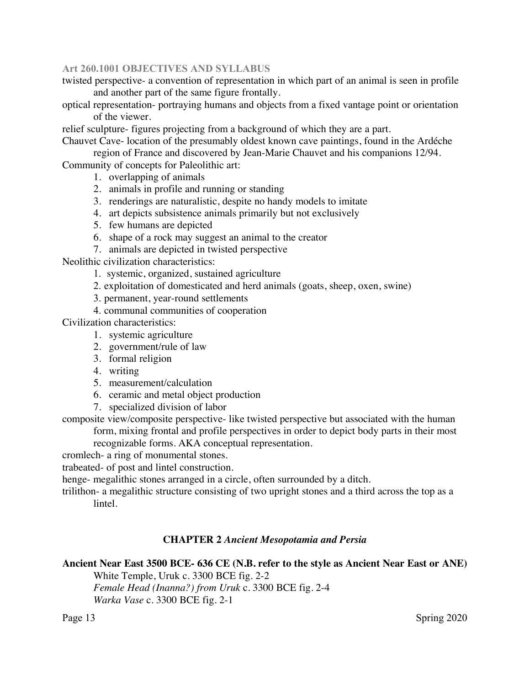twisted perspective- a convention of representation in which part of an animal is seen in profile and another part of the same figure frontally.

optical representation- portraying humans and objects from a fixed vantage point or orientation of the viewer.

relief sculpture- figures projecting from a background of which they are a part.

Chauvet Cave- location of the presumably oldest known cave paintings, found in the Ardéche region of France and discovered by Jean-Marie Chauvet and his companions 12/94.

Community of concepts for Paleolithic art:

- 1. overlapping of animals
- 2. animals in profile and running or standing
- 3. renderings are naturalistic, despite no handy models to imitate
- 4. art depicts subsistence animals primarily but not exclusively
- 5. few humans are depicted
- 6. shape of a rock may suggest an animal to the creator
- 7. animals are depicted in twisted perspective

Neolithic civilization characteristics:

1. systemic, organized, sustained agriculture

- 2. exploitation of domesticated and herd animals (goats, sheep, oxen, swine)
- 3. permanent, year-round settlements
- 4. communal communities of cooperation

Civilization characteristics:

- 1. systemic agriculture
- 2. government/rule of law
- 3. formal religion
- 4. writing
- 5. measurement/calculation
- 6. ceramic and metal object production
- 7. specialized division of labor

composite view/composite perspective- like twisted perspective but associated with the human form, mixing frontal and profile perspectives in order to depict body parts in their most

recognizable forms. AKA conceptual representation.

cromlech- a ring of monumental stones.

trabeated- of post and lintel construction.

henge- megalithic stones arranged in a circle, often surrounded by a ditch.

trilithon- a megalithic structure consisting of two upright stones and a third across the top as a lintel.

### **CHAPTER 2** *Ancient Mesopotamia and Persia*

# **Ancient Near East 3500 BCE- 636 CE (N.B. refer to the style as Ancient Near East or ANE)** White Temple, Uruk c. 3300 BCE fig. 2-2

*Female Head (Inanna?) from Uruk* c. 3300 BCE fig. 2-4 *Warka Vase* c. 3300 BCE fig. 2-1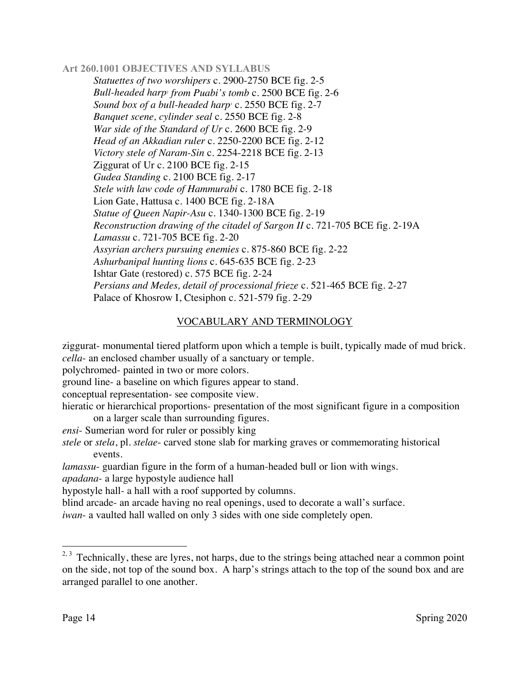*Statuettes of two worshipers* c. 2900-2750 BCE fig. 2-5 *Bull-headed harp2 from Puabi's tomb* c. 2500 BCE fig. 2-6 Sound box of a bull-headed harp<sup>3</sup> c. 2550 BCE fig. 2-7 *Banquet scene, cylinder seal* c. 2550 BCE fig. 2-8 *War side of the Standard of Ur* c. 2600 BCE fig. 2-9 *Head of an Akkadian ruler* c. 2250-2200 BCE fig. 2-12 *Victory stele of Naram-Sin* c. 2254-2218 BCE fig. 2-13 Ziggurat of Ur c. 2100 BCE fig. 2-15 *Gudea Standing* c. 2100 BCE fig. 2-17 *Stele with law code of Hammurabi* c. 1780 BCE fig. 2-18 Lion Gate, Hattusa c. 1400 BCE fig. 2-18A *Statue of Queen Napir-Asu* c. 1340-1300 BCE fig. 2-19 *Reconstruction drawing of the citadel of Sargon II* c. 721-705 BCE fig. 2-19A *Lamassu* c. 721-705 BCE fig. 2-20 *Assyrian archers pursuing enemies* c. 875-860 BCE fig. 2-22 *Ashurbanipal hunting lions* c. 645-635 BCE fig. 2-23 Ishtar Gate (restored) c. 575 BCE fig. 2-24 *Persians and Medes, detail of processional frieze* c. 521-465 BCE fig. 2-27 Palace of Khosrow I, Ctesiphon c. 521-579 fig. 2-29

# VOCABULARY AND TERMINOLOGY

ziggurat- monumental tiered platform upon which a temple is built, typically made of mud brick. *cella*- an enclosed chamber usually of a sanctuary or temple.

polychromed- painted in two or more colors.

ground line- a baseline on which figures appear to stand.

conceptual representation- see composite view.

hieratic or hierarchical proportions- presentation of the most significant figure in a composition on a larger scale than surrounding figures.

*ensi*- Sumerian word for ruler or possibly king

*stele* or *stela*, pl. *stelae*- carved stone slab for marking graves or commemorating historical events.

*lamassu*- guardian figure in the form of a human-headed bull or lion with wings.

*apadana*- a large hypostyle audience hall

hypostyle hall- a hall with a roof supported by columns.

blind arcade- an arcade having no real openings, used to decorate a wall's surface.

*iwan*- a vaulted hall walled on only 3 sides with one side completely open.

 $2,3$  Technically, these are lyres, not harps, due to the strings being attached near a common point on the side, not top of the sound box. A harp's strings attach to the top of the sound box and are arranged parallel to one another.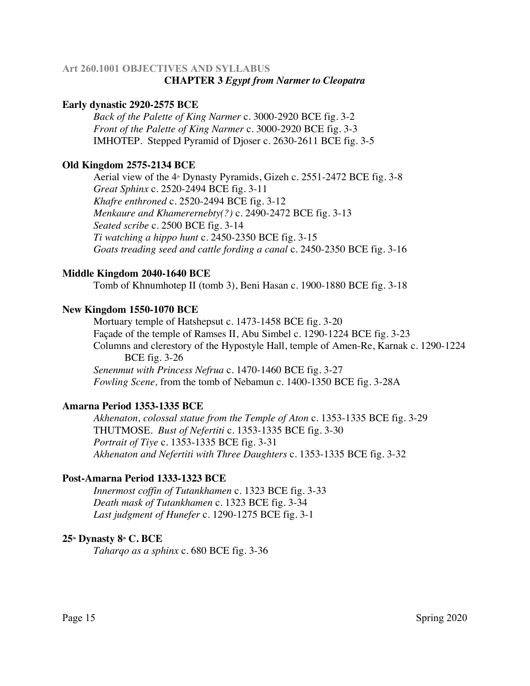# **Art 260.1001 OBJECTIVES AND SYLLABUS CHAPTER 3** *Egypt from Narmer to Cleopatra*

### **Early dynastic 2920-2575 BCE**

*Back of the Palette of King Narmer* c. 3000-2920 BCE fig. 3-2 *Front of the Palette of King Narmer* c. 3000-2920 BCE fig. 3-3 IMHOTEP. Stepped Pyramid of Djoser c. 2630-2611 BCE fig. 3-5

#### **Old Kingdom 2575-2134 BCE**

Aerial view of the  $4$ <sup>th</sup> Dynasty Pyramids, Gizeh c. 2551-2472 BCE fig. 3-8 *Great Sphinx* c. 2520-2494 BCE fig. 3-11 *Khafre enthroned* c. 2520-2494 BCE fig. 3-12 *Menkaure and Khamerernebty(?)* c. 2490-2472 BCE fig. 3-13 *Seated scribe* c. 2500 BCE fig. 3-14 *Ti watching a hippo hunt* c. 2450-2350 BCE fig. 3-15 *Goats treading seed and cattle fording a canal* c. 2450-2350 BCE fig. 3-16

#### **Middle Kingdom 2040-1640 BCE**

Tomb of Khnumhotep II (tomb 3), Beni Hasan c. 1900-1880 BCE fig. 3-18

#### **New Kingdom 1550-1070 BCE**

Mortuary temple of Hatshepsut c. 1473-1458 BCE fig. 3-20 Façade of the temple of Ramses II, Abu Simbel c. 1290-1224 BCE fig. 3-23 Columns and clerestory of the Hypostyle Hall, temple of Amen-Re, Karnak c. 1290-1224 BCE fig. 3-26 *Senenmut with Princess Nefrua* c. 1470-1460 BCE fig. 3-27

*Fowling Scene,* from the tomb of Nebamun c. 1400-1350 BCE fig. 3-28A

#### **Amarna Period 1353-1335 BCE**

*Akhenaton, colossal statue from the Temple of Aton* c. 1353-1335 BCE fig. 3-29 THUTMOSE. *Bust of Nefertiti* c. 1353-1335 BCE fig. 3-30 *Portrait of Tiye* c. 1353-1335 BCE fig. 3-31 *Akhenaton and Nefertiti with Three Daughters* c. 1353-1335 BCE fig. 3-32

### **Post-Amarna Period 1333-1323 BCE**

*Innermost coffin of Tutankhamen* c. 1323 BCE fig. 3-33 *Death mask of Tutankhamen* c. 1323 BCE fig. 3-34 *Last judgment of Hunefer* c. 1290-1275 BCE fig. 3-1

#### **25th Dynasty 8th C. BCE**

*Taharqo as a sphinx* c. 680 BCE fig. 3-36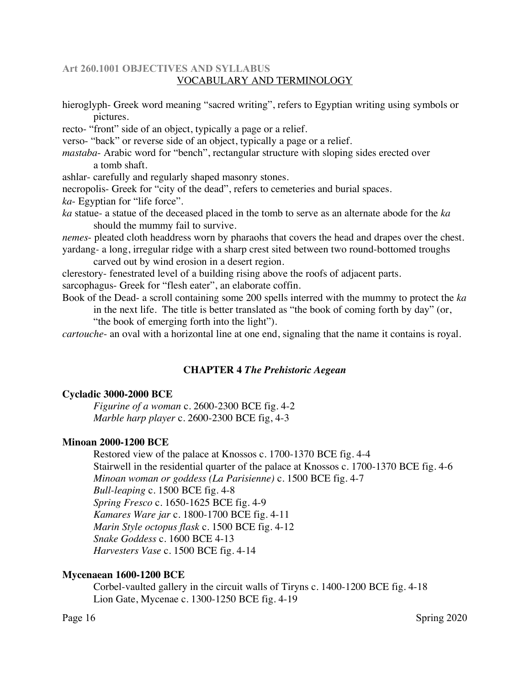### **Art 260.1001 OBJECTIVES AND SYLLABUS** VOCABULARY AND TERMINOLOGY

hieroglyph- Greek word meaning "sacred writing", refers to Egyptian writing using symbols or pictures.

recto- "front" side of an object, typically a page or a relief.

verso- "back" or reverse side of an object, typically a page or a relief.

*mastaba*- Arabic word for "bench", rectangular structure with sloping sides erected over a tomb shaft.

ashlar- carefully and regularly shaped masonry stones.

necropolis- Greek for "city of the dead", refers to cemeteries and burial spaces.

*ka*- Egyptian for "life force".

*ka* statue- a statue of the deceased placed in the tomb to serve as an alternate abode for the *ka* should the mummy fail to survive.

*nemes*- pleated cloth headdress worn by pharaohs that covers the head and drapes over the chest. yardang*-* a long, irregular ridge with a sharp crest sited between two round-bottomed troughs

carved out by wind erosion in a desert region.

clerestory- fenestrated level of a building rising above the roofs of adjacent parts.

sarcophagus- Greek for "flesh eater", an elaborate coffin.

Book of the Dead- a scroll containing some 200 spells interred with the mummy to protect the *ka*

in the next life. The title is better translated as "the book of coming forth by day" (or, "the book of emerging forth into the light").

*cartouche*- an oval with a horizontal line at one end, signaling that the name it contains is royal.

### **CHAPTER 4** *The Prehistoric Aegean*

### **Cycladic 3000-2000 BCE**

*Figurine of a woman* c. 2600-2300 BCE fig. 4-2 *Marble harp player* c. 2600-2300 BCE fig, 4-3

### **Minoan 2000-1200 BCE**

Restored view of the palace at Knossos c. 1700-1370 BCE fig. 4-4 Stairwell in the residential quarter of the palace at Knossos c. 1700-1370 BCE fig. 4-6 *Minoan woman or goddess (La Parisienne)* c. 1500 BCE fig. 4-7 *Bull-leaping* c. 1500 BCE fig. 4-8 *Spring Fresco* c. 1650-1625 BCE fig. 4-9 *Kamares Ware jar* c. 1800-1700 BCE fig. 4-11 *Marin Style octopus flask* c. 1500 BCE fig. 4-12 *Snake Goddess* c. 1600 BCE 4-13 *Harvesters Vase* c. 1500 BCE fig. 4-14

### **Mycenaean 1600-1200 BCE**

Corbel-vaulted gallery in the circuit walls of Tiryns c. 1400-1200 BCE fig. 4-18 Lion Gate, Mycenae c. 1300-1250 BCE fig. 4-19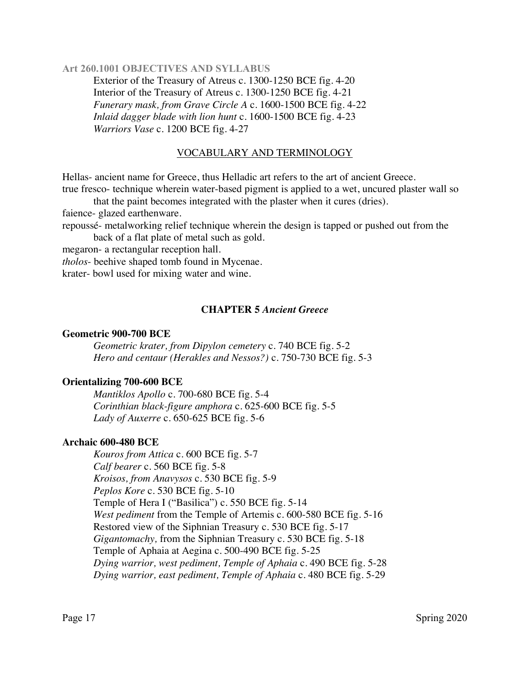Exterior of the Treasury of Atreus c. 1300-1250 BCE fig. 4-20 Interior of the Treasury of Atreus c. 1300-1250 BCE fig. 4-21 *Funerary mask, from Grave Circle A* c. 1600-1500 BCE fig. 4-22 *Inlaid dagger blade with lion hunt* c. 1600-1500 BCE fig. 4-23 *Warriors Vase* c. 1200 BCE fig. 4-27

#### VOCABULARY AND TERMINOLOGY

Hellas- ancient name for Greece, thus Helladic art refers to the art of ancient Greece. true fresco- technique wherein water-based pigment is applied to a wet, uncured plaster wall so

that the paint becomes integrated with the plaster when it cures (dries).

faience- glazed earthenware.

repoussé- metalworking relief technique wherein the design is tapped or pushed out from the back of a flat plate of metal such as gold.

megaron- a rectangular reception hall.

*tholos*- beehive shaped tomb found in Mycenae.

krater- bowl used for mixing water and wine.

#### **CHAPTER 5** *Ancient Greece*

#### **Geometric 900-700 BCE**

*Geometric krater, from Dipylon cemetery* c. 740 BCE fig. 5-2 *Hero and centaur (Herakles and Nessos?)* c. 750-730 BCE fig. 5-3

#### **Orientalizing 700-600 BCE**

*Mantiklos Apollo* c. 700-680 BCE fig. 5-4 *Corinthian black-figure amphora* c. 625-600 BCE fig. 5-5 *Lady of Auxerre* c. 650-625 BCE fig. 5-6

#### **Archaic 600-480 BCE**

*Kouros from Attica* c. 600 BCE fig. 5-7 *Calf bearer* c. 560 BCE fig. 5-8 *Kroisos, from Anavysos* c. 530 BCE fig. 5-9 *Peplos Kore* c. 530 BCE fig. 5-10 Temple of Hera I ("Basilica") c. 550 BCE fig. 5-14 *West pediment* from the Temple of Artemis c. 600-580 BCE fig. 5-16 Restored view of the Siphnian Treasury c. 530 BCE fig. 5-17 *Gigantomachy,* from the Siphnian Treasury c. 530 BCE fig. 5-18 Temple of Aphaia at Aegina c. 500-490 BCE fig. 5-25 *Dying warrior, west pediment, Temple of Aphaia* c. 490 BCE fig. 5-28 *Dying warrior, east pediment, Temple of Aphaia* c. 480 BCE fig. 5-29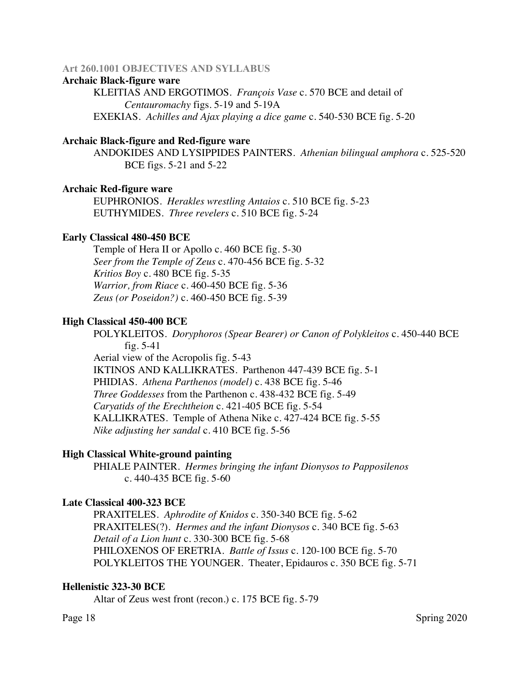#### **Archaic Black-figure ware**

KLEITIAS AND ERGOTIMOS. *François Vase* c. 570 BCE and detail of *Centauromachy* figs. 5-19 and 5-19A EXEKIAS. *Achilles and Ajax playing a dice game* c. 540-530 BCE fig. 5-20

#### **Archaic Black-figure and Red-figure ware**

ANDOKIDES AND LYSIPPIDES PAINTERS. *Athenian bilingual amphora* c. 525-520 BCE figs. 5-21 and 5-22

#### **Archaic Red-figure ware**

EUPHRONIOS. *Herakles wrestling Antaios* c. 510 BCE fig. 5-23 EUTHYMIDES. *Three revelers* c. 510 BCE fig. 5-24

#### **Early Classical 480-450 BCE**

Temple of Hera II or Apollo c. 460 BCE fig. 5-30 *Seer from the Temple of Zeus* c. 470-456 BCE fig. 5-32 *Kritios Boy* c. 480 BCE fig. 5-35 *Warrior, from Riace* c. 460-450 BCE fig. 5-36 *Zeus (or Poseidon?)* c. 460-450 BCE fig. 5-39

#### **High Classical 450-400 BCE**

POLYKLEITOS. *Doryphoros (Spear Bearer) or Canon of Polykleitos* c. 450-440 BCE fig. 5-41

Aerial view of the Acropolis fig. 5-43 IKTINOS AND KALLIKRATES. Parthenon 447-439 BCE fig. 5-1 PHIDIAS. *Athena Parthenos (model)* c. 438 BCE fig. 5-46 *Three Goddesses* from the Parthenon c. 438-432 BCE fig. 5-49 *Caryatids of the Erechtheion* c. 421-405 BCE fig. 5-54 KALLIKRATES. Temple of Athena Nike c. 427-424 BCE fig. 5-55 *Nike adjusting her sandal* c. 410 BCE fig. 5-56

#### **High Classical White-ground painting**

PHIALE PAINTER. *Hermes bringing the infant Dionysos to Papposilenos* c. 440-435 BCE fig. 5-60

#### **Late Classical 400-323 BCE**

PRAXITELES. *Aphrodite of Knidos* c. 350-340 BCE fig. 5-62 PRAXITELES(?). *Hermes and the infant Dionysos* c. 340 BCE fig. 5-63 *Detail of a Lion hunt* c. 330-300 BCE fig. 5-68 PHILOXENOS OF ERETRIA. *Battle of Issus* c. 120-100 BCE fig. 5-70 POLYKLEITOS THE YOUNGER. Theater, Epidauros c. 350 BCE fig. 5-71

#### **Hellenistic 323-30 BCE**

Altar of Zeus west front (recon.) c. 175 BCE fig. 5-79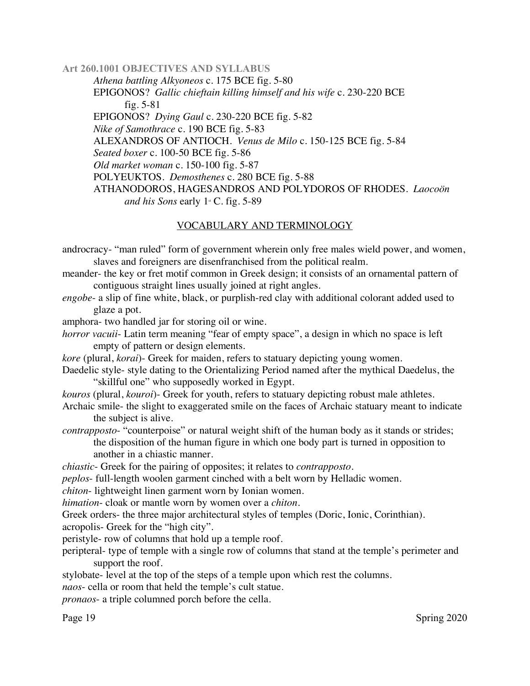*Athena battling Alkyoneos* c. 175 BCE fig. 5-80 EPIGONOS? *Gallic chieftain killing himself and his wife* c. 230-220 BCE fig. 5-81 EPIGONOS? *Dying Gaul* c. 230-220 BCE fig. 5-82 *Nike of Samothrace* c. 190 BCE fig. 5-83 ALEXANDROS OF ANTIOCH. *Venus de Milo* c. 150-125 BCE fig. 5-84 *Seated boxer* c. 100-50 BCE fig. 5-86 *Old market woman* c. 150-100 fig. 5-87 POLYEUKTOS. *Demosthenes* c. 280 BCE fig. 5-88 ATHANODOROS, HAGESANDROS AND POLYDOROS OF RHODES. *Laocoön and his Sons* early  $1 \times C$ . fig. 5-89

# VOCABULARY AND TERMINOLOGY

androcracy- "man ruled" form of government wherein only free males wield power, and women, slaves and foreigners are disenfranchised from the political realm.

- meander- the key or fret motif common in Greek design; it consists of an ornamental pattern of contiguous straight lines usually joined at right angles.
- *engobe* a slip of fine white, black, or purplish-red clay with additional colorant added used to glaze a pot.
- amphora- two handled jar for storing oil or wine.
- *horror vacuii* Latin term meaning "fear of empty space", a design in which no space is left empty of pattern or design elements.
- *kore* (plural, *korai*)- Greek for maiden, refers to statuary depicting young women.
- Daedelic style- style dating to the Orientalizing Period named after the mythical Daedelus, the "skillful one" who supposedly worked in Egypt.
- *kouros* (plural, *kouroi*)- Greek for youth, refers to statuary depicting robust male athletes.
- Archaic smile- the slight to exaggerated smile on the faces of Archaic statuary meant to indicate the subject is alive.
- *contrapposto* "counterpoise" or natural weight shift of the human body as it stands or strides; the disposition of the human figure in which one body part is turned in opposition to another in a chiastic manner.

*chiastic*- Greek for the pairing of opposites; it relates to *contrapposto*.

*peplos*- full-length woolen garment cinched with a belt worn by Helladic women.

*chiton*- lightweight linen garment worn by Ionian women.

*himation*- cloak or mantle worn by women over a *chiton.*

Greek orders- the three major architectural styles of temples (Doric, Ionic, Corinthian).

acropolis- Greek for the "high city".

peristyle- row of columns that hold up a temple roof.

peripteral- type of temple with a single row of columns that stand at the temple's perimeter and support the roof.

stylobate- level at the top of the steps of a temple upon which rest the columns.

*naos*- cella or room that held the temple's cult statue.

*pronaos*- a triple columned porch before the cella.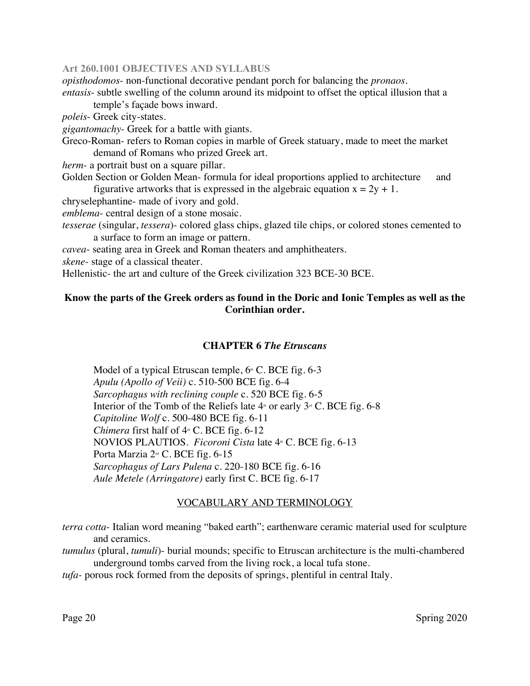*opisthodomos*- non-functional decorative pendant porch for balancing the *pronaos.*

*entasis*- subtle swelling of the column around its midpoint to offset the optical illusion that a temple's façade bows inward.

*poleis*- Greek city-states.

*gigantomachy*- Greek for a battle with giants.

Greco-Roman- refers to Roman copies in marble of Greek statuary, made to meet the market demand of Romans who prized Greek art.

*herm*- a portrait bust on a square pillar.

Golden Section or Golden Mean- formula for ideal proportions applied to architecture and figurative artworks that is expressed in the algebraic equation  $x = 2y + 1$ .

chryselephantine- made of ivory and gold.

*emblema*- central design of a stone mosaic.

*tesserae* (singular, *tessera*)- colored glass chips, glazed tile chips, or colored stones cemented to a surface to form an image or pattern.

*cavea*- seating area in Greek and Roman theaters and amphitheaters.

*skene*- stage of a classical theater.

Hellenistic- the art and culture of the Greek civilization 323 BCE-30 BCE.

# **Know the parts of the Greek orders as found in the Doric and Ionic Temples as well as the Corinthian order.**

#### **CHAPTER 6** *The Etruscans*

Model of a typical Etruscan temple,  $6\text{m}$  C. BCE fig. 6-3 *Apulu (Apollo of Veii)* c. 510-500 BCE fig. 6-4 *Sarcophagus with reclining couple* c. 520 BCE fig. 6-5 Interior of the Tomb of the Reliefs late  $4^{\text{th}}$  or early  $3^{\text{rd}}$  C. BCE fig. 6-8 *Capitoline Wolf* c. 500-480 BCE fig. 6-11 *Chimera* first half of  $4 \text{ m}$  C. BCE fig. 6-12 NOVIOS PLAUTIOS. *Ficoroni Cista* late 4<sup>th</sup> C. BCE fig. 6-13 Porta Marzia 2<sup>nd</sup> C. BCE fig. 6-15 *Sarcophagus of Lars Pulena* c. 220-180 BCE fig. 6-16 *Aule Metele (Arringatore)* early first C. BCE fig. 6-17

#### VOCABULARY AND TERMINOLOGY

*terra cotta*- Italian word meaning "baked earth"; earthenware ceramic material used for sculpture and ceramics.

*tumulus* (plural, *tumuli*)- burial mounds; specific to Etruscan architecture is the multi-chambered underground tombs carved from the living rock, a local tufa stone.

*tufa-* porous rock formed from the deposits of springs, plentiful in central Italy.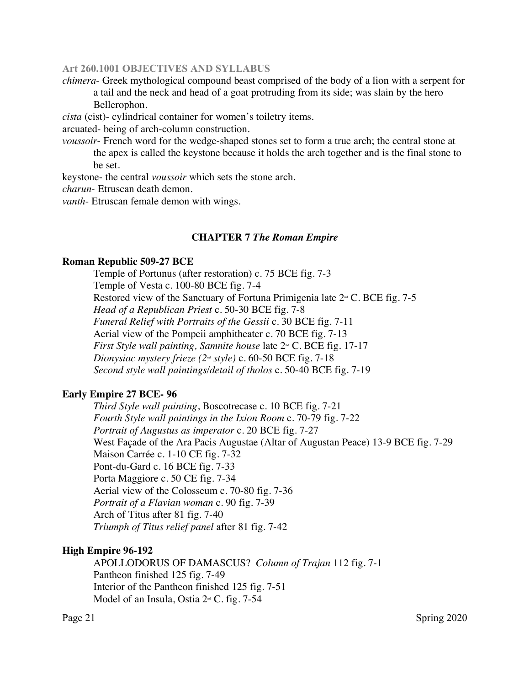*chimera*- Greek mythological compound beast comprised of the body of a lion with a serpent for a tail and the neck and head of a goat protruding from its side; was slain by the hero Bellerophon.

*cista* (cist)- cylindrical container for women's toiletry items.

arcuated- being of arch-column construction.

*voussoir*- French word for the wedge-shaped stones set to form a true arch; the central stone at the apex is called the keystone because it holds the arch together and is the final stone to be set.

keystone- the central *voussoir* which sets the stone arch.

*charun-* Etruscan death demon.

*vanth*- Etruscan female demon with wings.

#### **CHAPTER 7** *The Roman Empire*

#### **Roman Republic 509-27 BCE**

Temple of Portunus (after restoration) c. 75 BCE fig. 7-3 Temple of Vesta c. 100-80 BCE fig. 7-4 Restored view of the Sanctuary of Fortuna Primigenia late  $2<sup>nd</sup>$  C. BCE fig. 7-5 *Head of a Republican Priest* c. 50-30 BCE fig. 7-8 *Funeral Relief with Portraits of the Gessii* c. 30 BCE fig. 7-11 Aerial view of the Pompeii amphitheater c. 70 BCE fig. 7-13 *First Style wall painting, Samnite house* late  $2^{\omega}$  C. BCE fig. 17-17 *Dionysiac mystery frieze (2nd style)* c. 60-50 BCE fig. 7-18 *Second style wall paintings/detail of tholos* c. 50-40 BCE fig. 7-19

#### **Early Empire 27 BCE- 96**

*Third Style wall painting*, Boscotrecase c. 10 BCE fig. 7-21 *Fourth Style wall paintings in the Ixion Room* c. 70-79 fig. 7-22 *Portrait of Augustus as imperator* c. 20 BCE fig. 7-27 West Façade of the Ara Pacis Augustae (Altar of Augustan Peace) 13-9 BCE fig. 7-29 Maison Carrée c. 1-10 CE fig. 7-32 Pont-du-Gard c. 16 BCE fig. 7-33 Porta Maggiore c. 50 CE fig. 7-34 Aerial view of the Colosseum c. 70-80 fig. 7-36 *Portrait of a Flavian woman* c. 90 fig. 7-39 Arch of Titus after 81 fig. 7-40 *Triumph of Titus relief panel* after 81 fig. 7-42

#### **High Empire 96-192**

APOLLODORUS OF DAMASCUS? *Column of Trajan* 112 fig. 7-1 Pantheon finished 125 fig. 7-49 Interior of the Pantheon finished 125 fig. 7-51 Model of an Insula, Ostia  $2<sup>nd</sup>$  C. fig. 7-54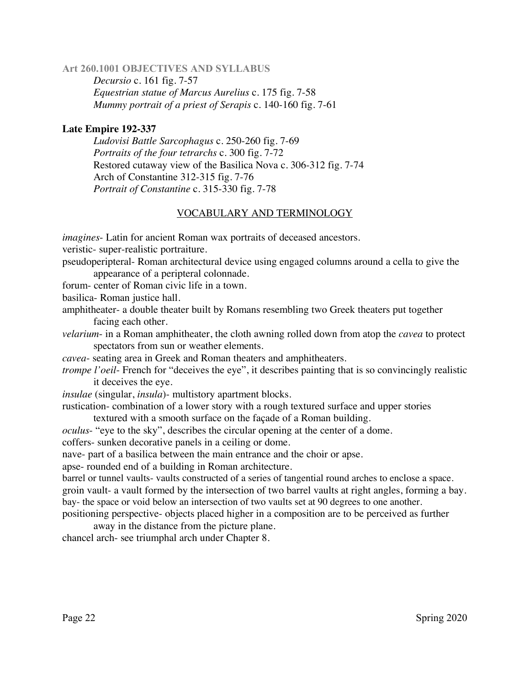*Decursio* c. 161 fig. 7-57 *Equestrian statue of Marcus Aurelius* c. 175 fig. 7-58 *Mummy portrait of a priest of Serapis* c. 140-160 fig. 7-61

### **Late Empire 192-337**

*Ludovisi Battle Sarcophagus* c. 250-260 fig. 7-69 *Portraits of the four tetrarchs* c. 300 fig. 7-72 Restored cutaway view of the Basilica Nova c. 306-312 fig. 7-74 Arch of Constantine 312-315 fig. 7-76 *Portrait of Constantine* c. 315-330 fig. 7-78

# VOCABULARY AND TERMINOLOGY

*imagines*- Latin for ancient Roman wax portraits of deceased ancestors.

veristic- super-realistic portraiture.

pseudoperipteral- Roman architectural device using engaged columns around a cella to give the appearance of a peripteral colonnade.

forum- center of Roman civic life in a town.

basilica- Roman justice hall.

- amphitheater- a double theater built by Romans resembling two Greek theaters put together facing each other.
- *velarium* in a Roman amphitheater, the cloth awning rolled down from atop the *cavea* to protect spectators from sun or weather elements.
- *cavea* seating area in Greek and Roman theaters and amphitheaters.
- *trompe l'oeil* French for "deceives the eye", it describes painting that is so convincingly realistic it deceives the eye.
- *insulae* (singular, *insula*)- multistory apartment blocks.

rustication- combination of a lower story with a rough textured surface and upper stories textured with a smooth surface on the façade of a Roman building.

*oculus*- "eye to the sky", describes the circular opening at the center of a dome.

coffers- sunken decorative panels in a ceiling or dome.

nave- part of a basilica between the main entrance and the choir or apse.

apse- rounded end of a building in Roman architecture.

barrel or tunnel vaults- vaults constructed of a series of tangential round arches to enclose a space. groin vault- a vault formed by the intersection of two barrel vaults at right angles, forming a bay. bay- the space or void below an intersection of two vaults set at 90 degrees to one another.

positioning perspective- objects placed higher in a composition are to be perceived as further away in the distance from the picture plane.

chancel arch- see triumphal arch under Chapter 8.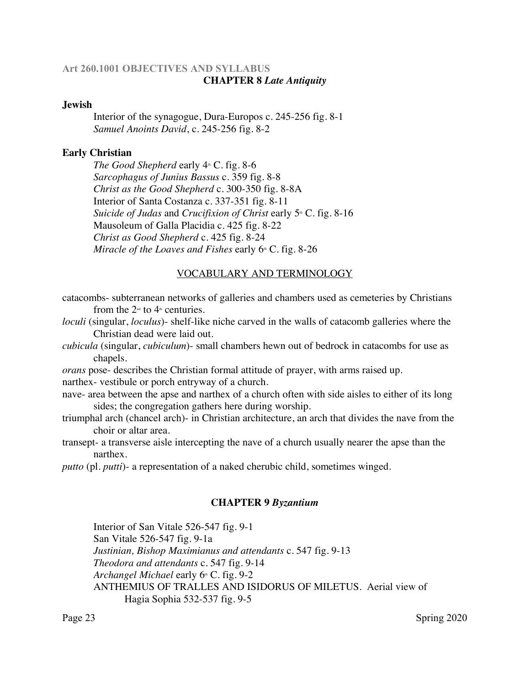# **Art 260.1001 OBJECTIVES AND SYLLABUS CHAPTER 8** *Late Antiquity*

#### **Jewish**

Interior of the synagogue, Dura-Europos c. 245-256 fig. 8-1 *Samuel Anoints David*, c. 245-256 fig. 8-2

### **Early Christian**

*The Good Shepherd* early  $4 \text{A} \cdot C$ . fig. 8-6 *Sarcophagus of Junius Bassus* c. 359 fig. 8-8 *Christ as the Good Shepherd* c. 300-350 fig. 8-8A Interior of Santa Costanza c. 337-351 fig. 8-11 *Suicide of Judas* and *Crucifixion of Christ* early 5<sup>th</sup> C. fig. 8-16 Mausoleum of Galla Placidia c. 425 fig. 8-22 *Christ as Good Shepherd* c. 425 fig. 8-24 *Miracle of the Loaves and Fishes* early 6<sup>th</sup> C. fig. 8-26

# VOCABULARY AND TERMINOLOGY

catacombs- subterranean networks of galleries and chambers used as cemeteries by Christians from the  $2<sup>nd</sup>$  to  $4<sup>th</sup>$  centuries.

*loculi* (singular, *loculus*)- shelf-like niche carved in the walls of catacomb galleries where the Christian dead were laid out.

*cubicula* (singular, *cubiculum*)- small chambers hewn out of bedrock in catacombs for use as chapels.

*orans* pose- describes the Christian formal attitude of prayer, with arms raised up. narthex- vestibule or porch entryway of a church.

nave- area between the apse and narthex of a church often with side aisles to either of its long sides; the congregation gathers here during worship.

triumphal arch (chancel arch)- in Christian architecture, an arch that divides the nave from the choir or altar area.

transept- a transverse aisle intercepting the nave of a church usually nearer the apse than the narthex.

*putto* (pl. *putti*)- a representation of a naked cherubic child, sometimes winged.

### **CHAPTER 9** *Byzantium*

Interior of San Vitale 526-547 fig. 9-1 San Vitale 526-547 fig. 9-1a *Justinian, Bishop Maximianus and attendants* c. 547 fig. 9-13 *Theodora and attendants* c. 547 fig. 9-14 *Archangel Michael* early 6<sup>th</sup> C. fig. 9-2 ANTHEMIUS OF TRALLES AND ISIDORUS OF MILETUS. Aerial view of Hagia Sophia 532-537 fig. 9-5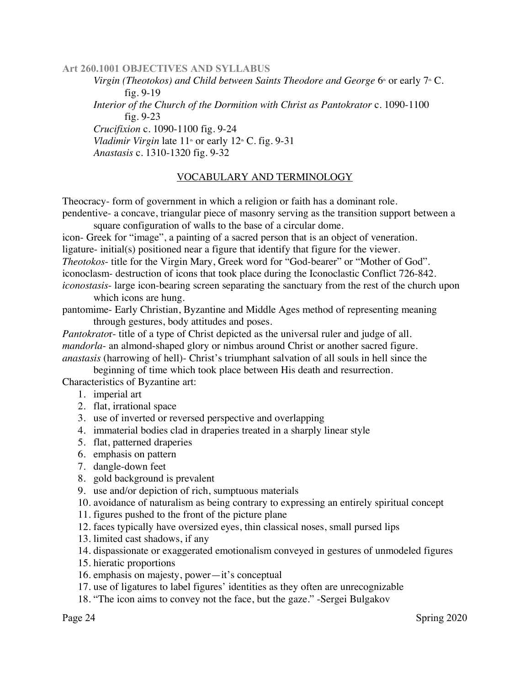*Virgin (Theotokos) and Child between Saints Theodore and George* 6<sup>th</sup> or early 7<sup>th</sup> C. fig. 9-19 *Interior of the Church of the Dormition with Christ as Pantokrator* c. 1090-1100 fig. 9-23 *Crucifixion* c. 1090-1100 fig. 9-24 *Vladimir Virgin* late  $11^{\omega}$  or early  $12^{\omega}$  C. fig. 9-31 *Anastasis* c. 1310-1320 fig. 9-32

### VOCABULARY AND TERMINOLOGY

Theocracy- form of government in which a religion or faith has a dominant role. pendentive- a concave, triangular piece of masonry serving as the transition support between a

square configuration of walls to the base of a circular dome.

icon- Greek for "image", a painting of a sacred person that is an object of veneration.

ligature- initial(s) positioned near a figure that identify that figure for the viewer.

*Theotokos*- title for the Virgin Mary, Greek word for "God-bearer" or "Mother of God".

iconoclasm- destruction of icons that took place during the Iconoclastic Conflict 726-842.

*iconostasis*- large icon-bearing screen separating the sanctuary from the rest of the church upon which icons are hung.

pantomime- Early Christian, Byzantine and Middle Ages method of representing meaning through gestures, body attitudes and poses.

*Pantokrato*r- title of a type of Christ depicted as the universal ruler and judge of all. *mandorla*- an almond-shaped glory or nimbus around Christ or another sacred figure. *anastasis* (harrowing of hell)- Christ's triumphant salvation of all souls in hell since the

beginning of time which took place between His death and resurrection.

Characteristics of Byzantine art:

- 1. imperial art
- 2. flat, irrational space
- 3. use of inverted or reversed perspective and overlapping
- 4. immaterial bodies clad in draperies treated in a sharply linear style
- 5. flat, patterned draperies
- 6. emphasis on pattern
- 7. dangle-down feet
- 8. gold background is prevalent
- 9. use and/or depiction of rich, sumptuous materials
- 10. avoidance of naturalism as being contrary to expressing an entirely spiritual concept
- 11. figures pushed to the front of the picture plane
- 12. faces typically have oversized eyes, thin classical noses, small pursed lips
- 13. limited cast shadows, if any
- 14. dispassionate or exaggerated emotionalism conveyed in gestures of unmodeled figures
- 15. hieratic proportions
- 16. emphasis on majesty, power—it's conceptual
- 17. use of ligatures to label figures' identities as they often are unrecognizable
- 18. "The icon aims to convey not the face, but the gaze." -Sergei Bulgakov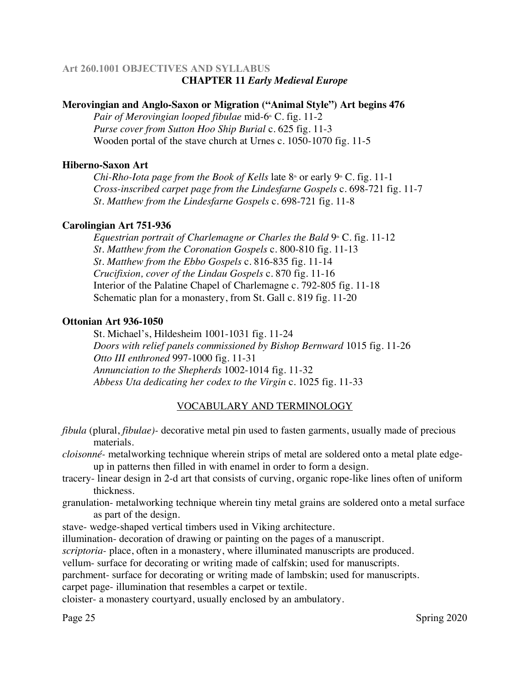# **Art 260.1001 OBJECTIVES AND SYLLABUS CHAPTER 11** *Early Medieval Europe*

### **Merovingian and Anglo-Saxon or Migration ("Animal Style") Art begins 476**

*Pair of Merovingian looped fibulae mid-6<sup>th</sup>* C. fig. 11-2 *Purse cover from Sutton Hoo Ship Burial* c. 625 fig. 11-3 Wooden portal of the stave church at Urnes c. 1050-1070 fig. 11-5

#### **Hiberno-Saxon Art**

*Chi-Rho-Iota page from the Book of Kells* late  $8<sup>th</sup>$  or early  $9<sup>th</sup>$  C. fig. 11-1 *Cross-inscribed carpet page from the Lindesfarne Gospels* c. 698-721 fig. 11-7 *St. Matthew from the Lindesfarne Gospels* c. 698-721 fig. 11-8

#### **Carolingian Art 751-936**

*Equestrian portrait of Charlemagne or Charles the Bald* 9<sup>th</sup> C. fig. 11-12 *St. Matthew from the Coronation Gospels* c. 800-810 fig. 11-13 *St. Matthew from the Ebbo Gospels* c. 816-835 fig. 11-14 *Crucifixion, cover of the Lindau Gospels* c. 870 fig. 11-16 Interior of the Palatine Chapel of Charlemagne c. 792-805 fig. 11-18 Schematic plan for a monastery, from St. Gall c. 819 fig. 11-20

#### **Ottonian Art 936-1050**

St. Michael's, Hildesheim 1001-1031 fig. 11-24 *Doors with relief panels commissioned by Bishop Bernward* 1015 fig. 11-26 *Otto III enthroned* 997-1000 fig. 11-31 *Annunciation to the Shepherds* 1002-1014 fig. 11-32 *Abbess Uta dedicating her codex to the Virgin* c. 1025 fig. 11-33

# VOCABULARY AND TERMINOLOGY

*fibula* (plural, *fibulae)-* decorative metal pin used to fasten garments, usually made of precious materials.

*cloisonné-* metalworking technique wherein strips of metal are soldered onto a metal plate edgeup in patterns then filled in with enamel in order to form a design.

- tracery- linear design in 2-d art that consists of curving, organic rope-like lines often of uniform thickness.
- granulation- metalworking technique wherein tiny metal grains are soldered onto a metal surface as part of the design.

stave- wedge-shaped vertical timbers used in Viking architecture.

illumination- decoration of drawing or painting on the pages of a manuscript.

*scriptoria-* place, often in a monastery, where illuminated manuscripts are produced.

vellum- surface for decorating or writing made of calfskin; used for manuscripts.

parchment- surface for decorating or writing made of lambskin; used for manuscripts.

carpet page- illumination that resembles a carpet or textile.

cloister- a monastery courtyard, usually enclosed by an ambulatory.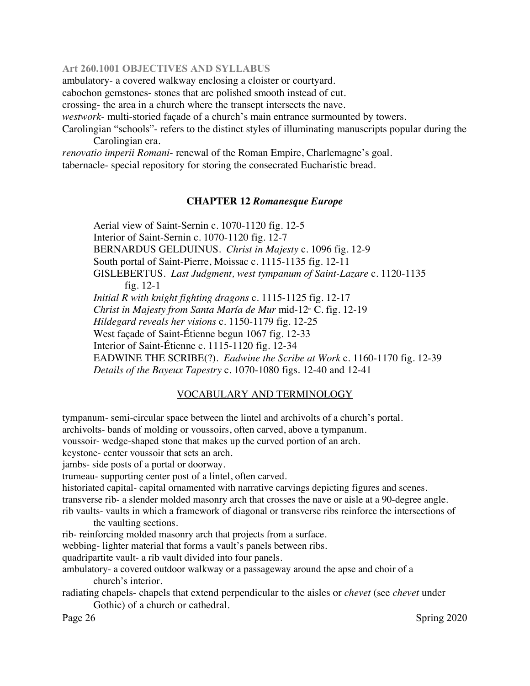ambulatory- a covered walkway enclosing a cloister or courtyard.

cabochon gemstones- stones that are polished smooth instead of cut.

crossing- the area in a church where the transept intersects the nave.

*westwork*- multi-storied façade of a church's main entrance surmounted by towers.

Carolingian "schools"- refers to the distinct styles of illuminating manuscripts popular during the Carolingian era.

*renovatio imperii Romani*- renewal of the Roman Empire, Charlemagne's goal.

tabernacle- special repository for storing the consecrated Eucharistic bread.

#### **CHAPTER 12** *Romanesque Europe*

Aerial view of Saint-Sernin c. 1070-1120 fig. 12-5 Interior of Saint-Sernin c. 1070-1120 fig. 12-7 BERNARDUS GELDUINUS. *Christ in Majesty* c. 1096 fig. 12-9 South portal of Saint-Pierre, Moissac c. 1115-1135 fig. 12-11 GISLEBERTUS. *Last Judgment, west tympanum of Saint-Lazare* c. 1120-1135 fig. 12-1 *Initial R with knight fighting dragons* c. 1115-1125 fig. 12-17 *Christ in Majesty from Santa María de Mur* mid-12<sup>th</sup> C. fig. 12-19 *Hildegard reveals her visions* c. 1150-1179 fig. 12-25 West façade of Saint-Étienne begun 1067 fig. 12-33 Interior of Saint-Étienne c. 1115-1120 fig. 12-34 EADWINE THE SCRIBE(?). *Eadwine the Scribe at Work* c. 1160-1170 fig. 12-39 *Details of the Bayeux Tapestry* c. 1070-1080 figs. 12-40 and 12-41

#### VOCABULARY AND TERMINOLOGY

tympanum- semi-circular space between the lintel and archivolts of a church's portal.

archivolts- bands of molding or voussoirs, often carved, above a tympanum.

voussoir- wedge-shaped stone that makes up the curved portion of an arch.

keystone- center voussoir that sets an arch.

jambs- side posts of a portal or doorway.

trumeau- supporting center post of a lintel, often carved.

historiated capital- capital ornamented with narrative carvings depicting figures and scenes. transverse rib- a slender molded masonry arch that crosses the nave or aisle at a 90-degree angle. rib vaults- vaults in which a framework of diagonal or transverse ribs reinforce the intersections of

the vaulting sections.

rib- reinforcing molded masonry arch that projects from a surface.

webbing- lighter material that forms a vault's panels between ribs.

quadripartite vault- a rib vault divided into four panels.

ambulatory- a covered outdoor walkway or a passageway around the apse and choir of a church's interior.

radiating chapels- chapels that extend perpendicular to the aisles or *chevet* (see *chevet* under Gothic) of a church or cathedral.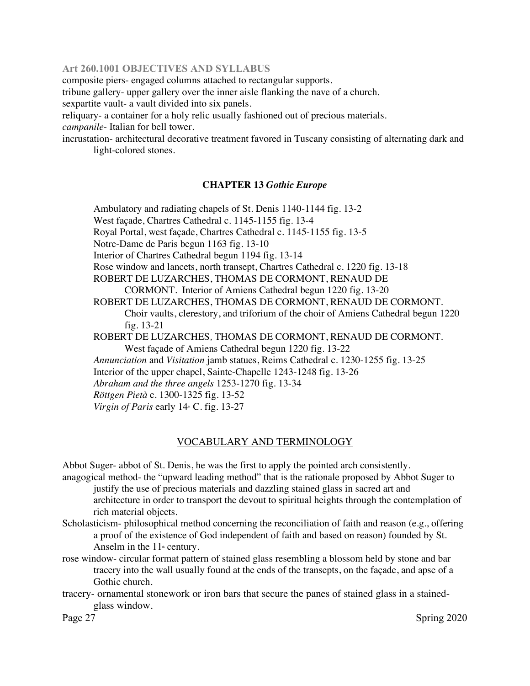composite piers- engaged columns attached to rectangular supports.

tribune gallery- upper gallery over the inner aisle flanking the nave of a church.

sexpartite vault- a vault divided into six panels.

reliquary- a container for a holy relic usually fashioned out of precious materials. *campanile*- Italian for bell tower.

incrustation- architectural decorative treatment favored in Tuscany consisting of alternating dark and light-colored stones.

### **CHAPTER 13** *Gothic Europe*

Ambulatory and radiating chapels of St. Denis 1140-1144 fig. 13-2 West façade, Chartres Cathedral c. 1145-1155 fig. 13-4 Royal Portal, west façade, Chartres Cathedral c. 1145-1155 fig. 13-5 Notre-Dame de Paris begun 1163 fig. 13-10 Interior of Chartres Cathedral begun 1194 fig. 13-14 Rose window and lancets, north transept, Chartres Cathedral c. 1220 fig. 13-18 ROBERT DE LUZARCHES, THOMAS DE CORMONT, RENAUD DE CORMONT. Interior of Amiens Cathedral begun 1220 fig. 13-20 ROBERT DE LUZARCHES, THOMAS DE CORMONT, RENAUD DE CORMONT. Choir vaults, clerestory, and triforium of the choir of Amiens Cathedral begun 1220 fig. 13-21 ROBERT DE LUZARCHES*,* THOMAS DE CORMONT, RENAUD DE CORMONT*.*  West façade of Amiens Cathedral begun 1220 fig. 13-22 *Annunciation* and *Visitation* jamb statues, Reims Cathedral c. 1230-1255 fig. 13-25 Interior of the upper chapel, Sainte-Chapelle 1243-1248 fig. 13-26 *Abraham and the three angels* 1253-1270 fig. 13-34 *Röttgen Pietà* c. 1300-1325 fig. 13-52 *Virgin of Paris* early  $14 \text{ m}$  C. fig. 13-27

### VOCABULARY AND TERMINOLOGY

Abbot Suger- abbot of St. Denis, he was the first to apply the pointed arch consistently.

- anagogical method- the "upward leading method" that is the rationale proposed by Abbot Suger to justify the use of precious materials and dazzling stained glass in sacred art and architecture in order to transport the devout to spiritual heights through the contemplation of rich material objects.
- Scholasticism- philosophical method concerning the reconciliation of faith and reason (e.g., offering a proof of the existence of God independent of faith and based on reason) founded by St. Anselm in the  $11<sup>th</sup>$  century.
- rose window- circular format pattern of stained glass resembling a blossom held by stone and bar tracery into the wall usually found at the ends of the transepts, on the façade, and apse of a Gothic church.
- tracery- ornamental stonework or iron bars that secure the panes of stained glass in a stainedglass window.